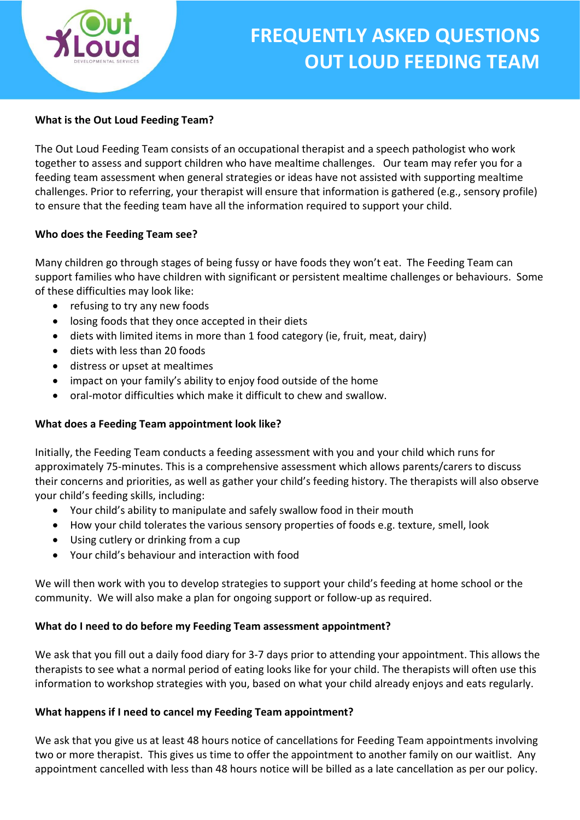

# What is the Out Loud Feeding Team?

The Out Loud Feeding Team consists of an occupational therapist and a speech pathologist who work together to assess and support children who have mealtime challenges. Our team may refer you for a feeding team assessment when general strategies or ideas have not assisted with supporting mealtime challenges. Prior to referring, your therapist will ensure that information is gathered (e.g., sensory profile) to ensure that the feeding team have all the information required to support your child.

# Who does the Feeding Team see?

Many children go through stages of being fussy or have foods they won't eat. The Feeding Team can support families who have children with significant or persistent mealtime challenges or behaviours. Some of these difficulties may look like:

- refusing to try any new foods
- losing foods that they once accepted in their diets
- diets with limited items in more than 1 food category (ie, fruit, meat, dairy)
- diets with less than 20 foods
- distress or upset at mealtimes
- impact on your family's ability to enjoy food outside of the home
- oral-motor difficulties which make it difficult to chew and swallow.

# What does a Feeding Team appointment look like?

Initially, the Feeding Team conducts a feeding assessment with you and your child which runs for approximately 75-minutes. This is a comprehensive assessment which allows parents/carers to discuss their concerns and priorities, as well as gather your child's feeding history. The therapists will also observe your child's feeding skills, including:

- Your child's ability to manipulate and safely swallow food in their mouth
- How your child tolerates the various sensory properties of foods e.g. texture, smell, look
- Using cutlery or drinking from a cup
- Your child's behaviour and interaction with food

We will then work with you to develop strategies to support your child's feeding at home school or the community. We will also make a plan for ongoing support or follow-up as required.

# What do I need to do before my Feeding Team assessment appointment?

We ask that you fill out a daily food diary for 3-7 days prior to attending your appointment. This allows the therapists to see what a normal period of eating looks like for your child. The therapists will often use this information to workshop strategies with you, based on what your child already enjoys and eats regularly.

# What happens if I need to cancel my Feeding Team appointment?

We ask that you give us at least 48 hours notice of cancellations for Feeding Team appointments involving two or more therapist. This gives us time to offer the appointment to another family on our waitlist. Any appointment cancelled with less than 48 hours notice will be billed as a late cancellation as per our policy.